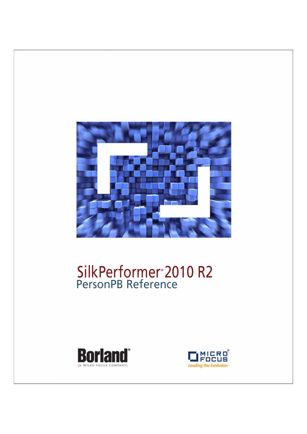

# SilkPerformer® 2010 R2 PersonPB Reference



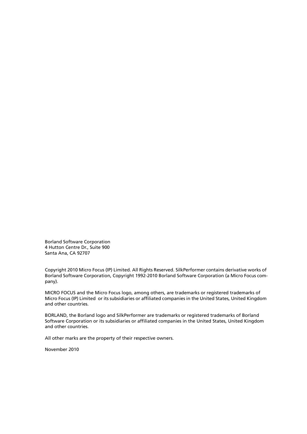Borland Software Corporation 4 Hutton Centre Dr., Suite 900 Santa Ana, CA 92707

Copyright 2010 Micro Focus (IP) Limited. All Rights Reserved. SilkPerformer contains derivative works of Borland Software Corporation, Copyright 1992-2010 Borland Software Corporation (a Micro Focus company).

MICRO FOCUS and the Micro Focus logo, among others, are trademarks or registered trademarks of Micro Focus (IP) Limited or its subsidiaries or affiliated companies in the United States, United Kingdom and other countries.

BORLAND, the Borland logo and SilkPerformer are trademarks or registered trademarks of Borland Software Corporation or its subsidiaries or affiliated companies in the United States, United Kingdom and other countries.

All other marks are the property of their respective owners.

November 2010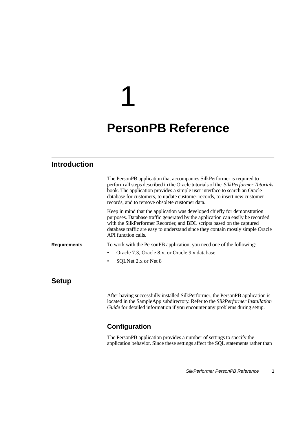# 1

# **PersonPB Reference**

# **Introduction**

|                     | The PersonPB application that accompanies SilkPerformer is required to<br>perform all steps described in the Oracle tutorials of the SilkPerformer Tutorials<br>book. The application provides a simple user interface to search an Oracle<br>database for customers, to update customer records, to insert new customer<br>records, and to remove obsolete customer data. |
|---------------------|----------------------------------------------------------------------------------------------------------------------------------------------------------------------------------------------------------------------------------------------------------------------------------------------------------------------------------------------------------------------------|
|                     | Keep in mind that the application was developed chiefly for demonstration<br>purposes. Database traffic generated by the application can easily be recorded<br>with the SilkPerformer Recorder, and BDL scripts based on the captured<br>database traffic are easy to understand since they contain mostly simple Oracle<br>API function calls.                            |
| <b>Requirements</b> | To work with the PersonPB application, you need one of the following:                                                                                                                                                                                                                                                                                                      |
|                     | Oracle 7.3, Oracle 8.x, or Oracle 9.x database                                                                                                                                                                                                                                                                                                                             |
|                     | SOLNet 2.x or Net 8                                                                                                                                                                                                                                                                                                                                                        |

# **Setup**

After having successfully installed SilkPerformer, the PersonPB application is located in the SampleApp subdirectory. Refer to the *SilkPerformer Installation Guide* for detailed information if you encounter any problems during setup.

# **Configuration**

The PersonPB application provides a number of settings to specify the application behavior. Since these settings affect the SQL statements rather than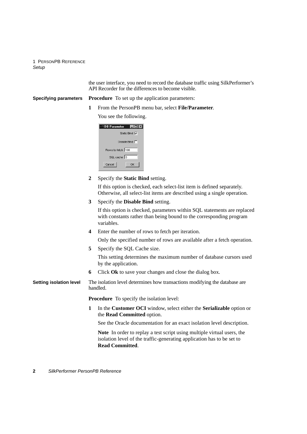the user interface, you need to record the database traffic using SilkPerformer's API Recorder for the differences to become visible.

**Specifying parameters Procedure** To set up the application parameters:

**1** From the PersonPB menu bar, select **File/Parameter**. You see the following.

| $\Box$ D $\times$<br><b>B</b> Parameter |
|-----------------------------------------|
| Static Bind <b>V</b>                    |
| Disable Bind $\Box$                     |
| Rows to fetch 100                       |
| SQL cache 0                             |
| Cancel<br>OK                            |

**2** Specify the **Static Bind** setting.

If this option is checked, each select-list item is defined separately. Otherwise, all select-list items are described using a single operation.

**3** Specify the **Disable Bind** setting.

If this option is checked, parameters within SQL statements are replaced with constants rather than being bound to the corresponding program variables.

**4** Enter the number of rows to fetch per iteration.

Only the specified number of rows are available after a fetch operation.

**5** Specify the SOL Cache size.

This setting determines the maximum number of database cursors used by the application.

**6** Click **Ok** to save your changes and close the dialog box.

#### **Setting isolation level** The isolation level determines how transactions modifying the database are handled.

**Procedure** To specify the isolation level:

**1** In the **Customer OCI** window, select either the **Serializable** option or the **Read Committed** option.

See the Oracle documentation for an exact isolation level description.

**Note** In order to replay a test script using multiple virtual users, the isolation level of the traffic-generating application has to be set to **Read Committed**.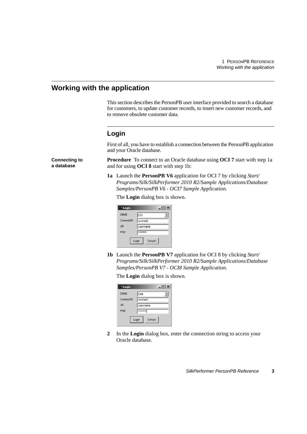# **Working with the application**

**Connecting to a database**

This section describes the PersonPB user interface provided to search a database for customers, to update customer records, to insert new customer records, and to remove obsolete customer data.

# **Login**

First of all, you have to establish a connection between the PersonPB application and your Oracle database.

**Procedure** To connect to an Oracle database using **OCI 7** start with step 1a and for using **OCI 8** start with step 1b:

**1a** Launch the **PersonPB V6** application for OCI 7 by clicking *Start/ Programs/Silk/SilkPerformer 2010 R2/Sample Applications/Database Samples/PersonPB V6 - OCI7 Sample Application*.

The **Login** dialog box is shown.

| <b>Login</b>    | $ \Box$ $\times$ |  |  |  |
|-----------------|------------------|--|--|--|
| <b>DBMS</b>     | OCI              |  |  |  |
| ConnectStr      | orclnet2         |  |  |  |
| <b>UID</b>      | username         |  |  |  |
| <b>PVVD</b>     | ********         |  |  |  |
| Cancel<br>Login |                  |  |  |  |

**1b** Launch the **PersonPB V7** application for OCI 8 by clicking *Start/ Programs/Silk/SilkPerformer 2010 R2/Sample Applications/Database Samples/PersonPB V7 - OCI8 Sample Application*.

The **Login** dialog box is shown.

| <sup>1</sup> Login | $\Box$   |  |  |
|--------------------|----------|--|--|
| <b>DBMS</b>        | 084      |  |  |
| ConnectStr         | orclnet2 |  |  |
| <b>UID</b>         | username |  |  |
| <b>PVVD</b>        | ******** |  |  |
| Login<br>Cancel    |          |  |  |

**2** In the **Login** dialog box, enter the connection string to access your Oracle database.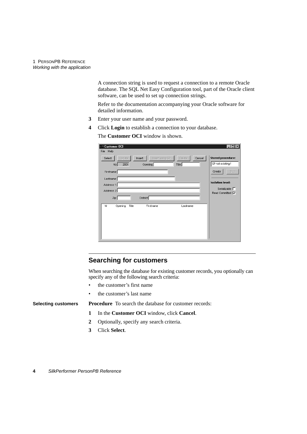A connection string is used to request a connection to a remote Oracle database. The SQL Net Easy Configuration tool, part of the Oracle client software, can be used to set up connection strings.

Refer to the documentation accompanying your Oracle software for detailed information.

- **3** Enter your user name and your password.
- **4** Click **Login** to establish a connection to your database.

The **Customer OCI** window is shown.

| <sup>3</sup> Customer OCI<br>Help<br>File                           | $\Box$                                       |
|---------------------------------------------------------------------|----------------------------------------------|
| Insert using SP<br>Cancel<br>Update:<br>Insert<br>Delete.<br>Select | <b>Stored procedure:</b><br>SP not existing! |
| 2001<br>Opening:<br>Title:<br>No:<br>Firstname:                     | Create<br>Drop                               |
| Lastname:                                                           |                                              |
| Address 1:                                                          | <b>Isolation level:</b>                      |
| Address 2:                                                          | Serializable $\Box$                          |
| District:<br>Zip:                                                   | Read Committed <b>V</b>                      |
|                                                                     |                                              |
| Title<br>Firstname<br>Lastname<br>Nr<br>Opening                     |                                              |
|                                                                     |                                              |
|                                                                     |                                              |
|                                                                     |                                              |
|                                                                     |                                              |
|                                                                     |                                              |

### **Searching for customers**

When searching the database for existing customer records, you optionally can specify any of the following search criteria:

- the customer's first name
- the customer's last name

**Selecting customers Procedure** To search the database for customer records:

- **1** In the **Customer OCI** window, click **Cancel**.
- **2** Optionally, specify any search criteria.
- **3** Click **Select**.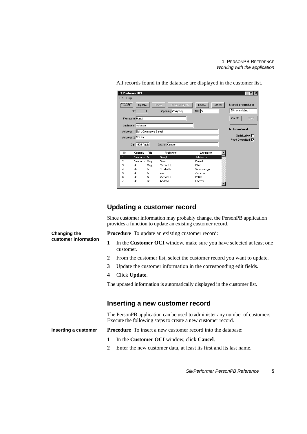| Help<br>File   | <b>3 Customer OCI</b>            |                                                      |                                | ! – I – I                                    |
|----------------|----------------------------------|------------------------------------------------------|--------------------------------|----------------------------------------------|
| Select         | Update<br>No:                    | Insert using SP<br><b>Insert</b><br>Opening: Company | Delete<br>Cancel<br>Title: Dr. | <b>Stored procedure:</b><br>SP not existing! |
|                | Firstname: Bengt                 |                                                      |                                | Create<br>Drop                               |
|                | Lastname: Adkisson               |                                                      |                                | <b>Isolation level:</b>                      |
|                |                                  |                                                      |                                |                                              |
|                | Address 1: Eight Commerce Street |                                                      |                                |                                              |
|                | Address 2: Ensley                |                                                      |                                | Serializable $\Box$                          |
|                |                                  |                                                      |                                | Read Committed <b>V</b>                      |
|                | Zip: 1605 Pasic                  | District: Oregon                                     |                                |                                              |
| Nr             | Opening<br>Title                 | Firstname                                            | Lastname                       |                                              |
| 1              | Company<br>Dr.                   | Bengt                                                | Adkisson                       |                                              |
| $\overline{a}$ | Company<br>Maq.                  | Sarah                                                | Farrell                        |                                              |
| 3              | Mr.<br>Mag.                      | Richard J.                                           | Elliott                        |                                              |
| 4              | Ms.<br><b>DI</b>                 | Elizabeth                                            | Sciaccaluga                    |                                              |
| 5              | Mr.<br>Dr.                       | lain.                                                | Ocneanu                        |                                              |
| 6              | Mr.<br>DI.                       | Michael K.                                           | Patillo                        |                                              |

All records found in the database are displayed in the customer list.

## **Updating a customer record**

Since customer information may probably change, the PersonPB application provides a function to update an existing customer record.

**Procedure** To update an existing customer record:

**Changing the customer information**

- **1** In the **Customer OCI** window, make sure you have selected at least one customer.
- **2** From the customer list, select the customer record you want to update.
- **3** Update the customer information in the corresponding edit fields.
- **4** Click **Update**.

The updated information is automatically displayed in the customer list.

#### **Inserting a new customer record**

The PersonPB application can be used to administer any number of customers. Execute the following steps to create a new customer record.

**Inserting a customer Procedure** To insert a new customer record into the database:

- **1** In the **Customer OCI** window, click **Cancel**.
- **2** Enter the new customer data, at least its first and its last name.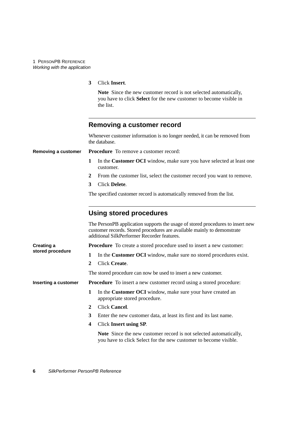**3** Click **Insert**.

**Note** Since the new customer record is not selected automatically, you have to click **Select** for the new customer to become visible in the list.

|                      | <b>Removing a customer record</b>                                                                                                                                                                        |  |  |  |  |
|----------------------|----------------------------------------------------------------------------------------------------------------------------------------------------------------------------------------------------------|--|--|--|--|
|                      | Whenever customer information is no longer needed, it can be removed from<br>the database.                                                                                                               |  |  |  |  |
| Removing a customer  | <b>Procedure</b> To remove a customer record:                                                                                                                                                            |  |  |  |  |
|                      | In the Customer OCI window, make sure you have selected at least one<br>1<br>customer.                                                                                                                   |  |  |  |  |
|                      | From the customer list, select the customer record you want to remove.<br>2                                                                                                                              |  |  |  |  |
|                      | Click Delete.<br>3                                                                                                                                                                                       |  |  |  |  |
|                      | The specified customer record is automatically removed from the list.                                                                                                                                    |  |  |  |  |
|                      | <b>Using stored procedures</b>                                                                                                                                                                           |  |  |  |  |
|                      | The PersonPB application supports the usage of stored procedures to insert new<br>customer records. Stored procedures are available mainly to demonstrate<br>additional SilkPerformer Recorder features. |  |  |  |  |
| <b>Creating a</b>    | <b>Procedure</b> To create a stored procedure used to insert a new customer:                                                                                                                             |  |  |  |  |
| stored procedure     | In the Customer OCI window, make sure no stored procedures exist.<br>1                                                                                                                                   |  |  |  |  |
|                      | Click Create.<br>$\mathbf{2}$                                                                                                                                                                            |  |  |  |  |
|                      | The stored procedure can now be used to insert a new customer.                                                                                                                                           |  |  |  |  |
| Inserting a customer | <b>Procedure</b> To insert a new customer record using a stored procedure:                                                                                                                               |  |  |  |  |
|                      | 1<br>In the <b>Customer OCI</b> window, make sure your have created an<br>appropriate stored procedure.                                                                                                  |  |  |  |  |
|                      | Click Cancel.<br>$\mathbf{2}$                                                                                                                                                                            |  |  |  |  |
|                      | 3<br>Enter the new customer data, at least its first and its last name.                                                                                                                                  |  |  |  |  |
|                      | <b>Click Insert using SP.</b><br>4                                                                                                                                                                       |  |  |  |  |

**Note** Since the new customer record is not selected automatically, you have to click Select for the new customer to become visible.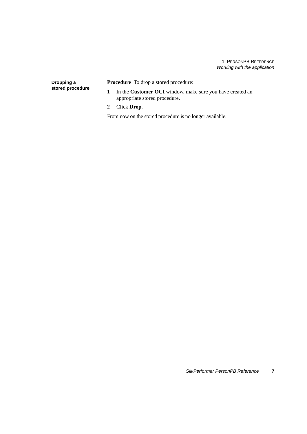**Dropping a stored procedure** **Procedure** To drop a stored procedure:

- **1** In the **Customer OCI** window, make sure you have created an appropriate stored procedure.
- **2** Click **Drop**.

From now on the stored procedure is no longer available.